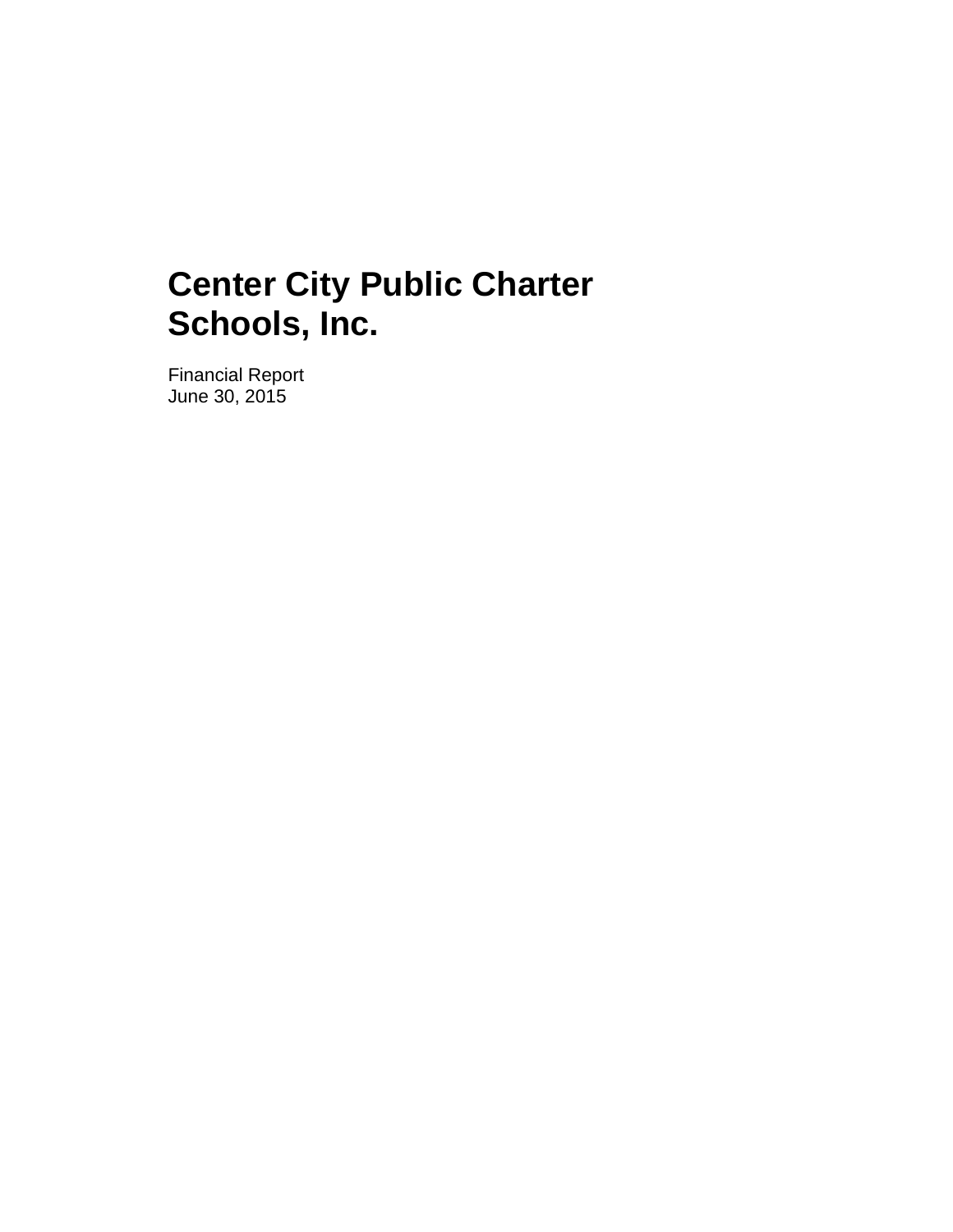Financial Report June 30, 2015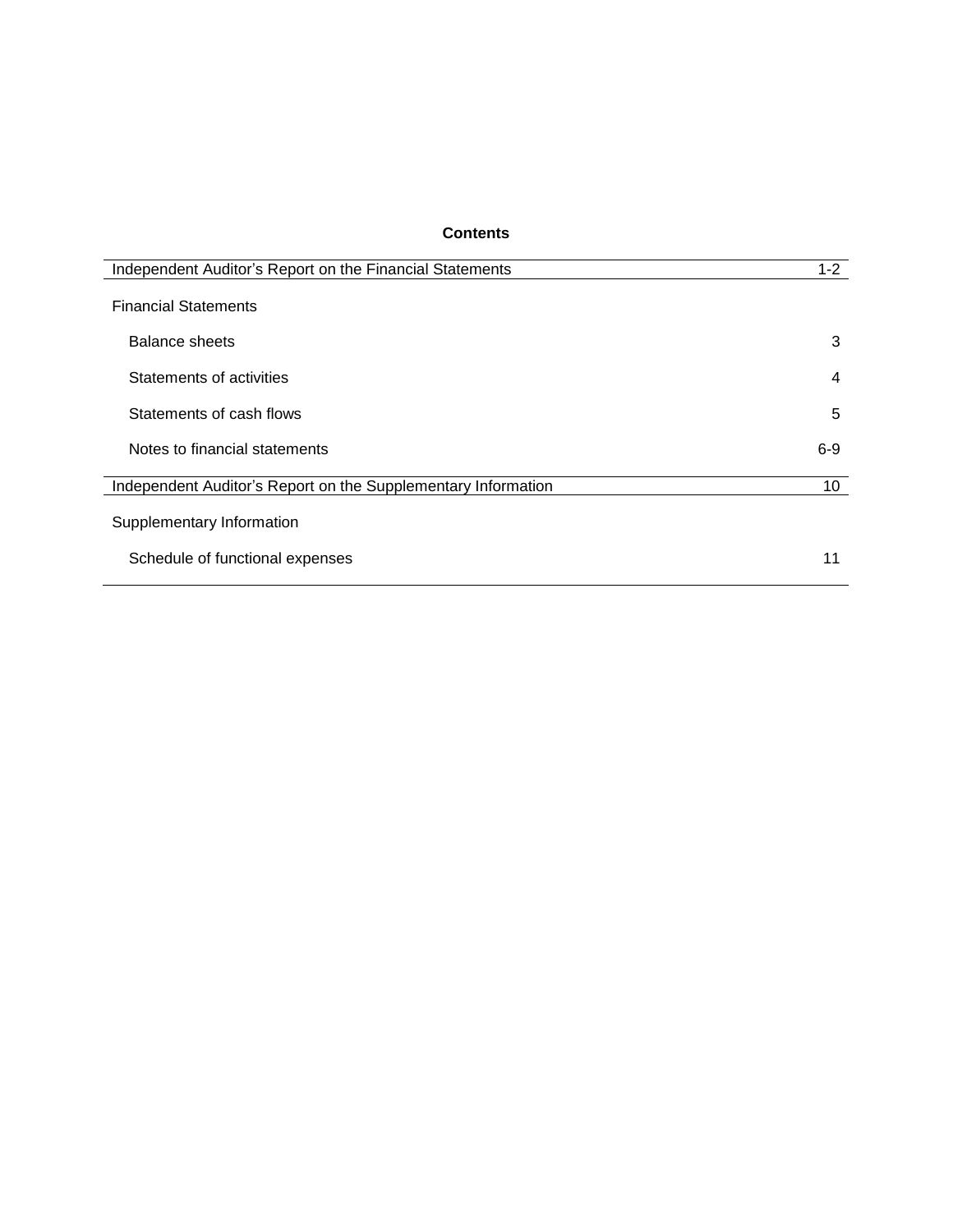# **Contents**

| Independent Auditor's Report on the Financial Statements      | $1 - 2$ |
|---------------------------------------------------------------|---------|
| <b>Financial Statements</b>                                   |         |
| Balance sheets                                                | 3       |
| Statements of activities                                      | 4       |
| Statements of cash flows                                      | 5       |
| Notes to financial statements                                 | $6 - 9$ |
| Independent Auditor's Report on the Supplementary Information | 10      |
| Supplementary Information                                     |         |
| Schedule of functional expenses                               | 11      |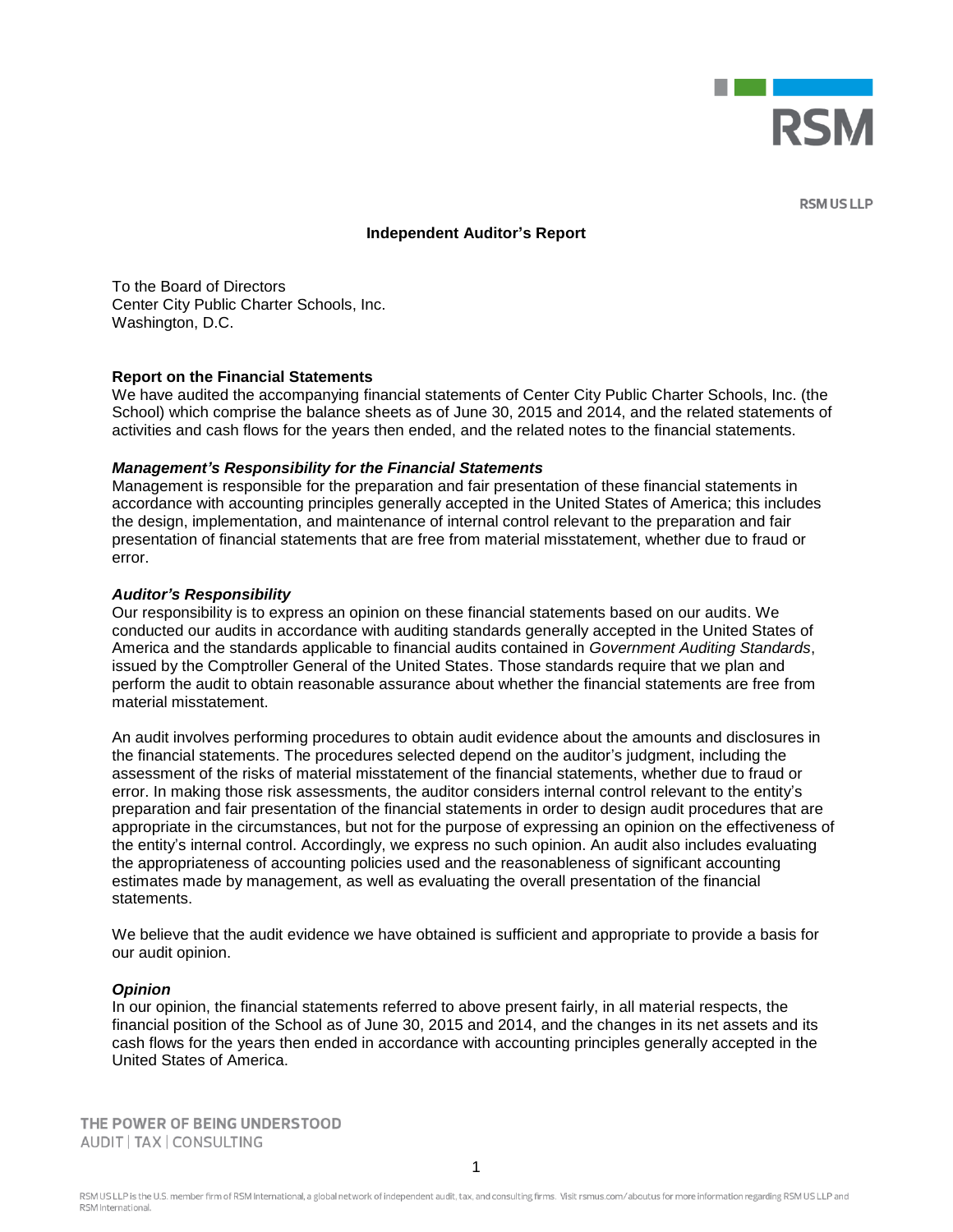

**RSM US LLP** 

#### **Independent Auditor's Report**

To the Board of Directors Center City Public Charter Schools, Inc. Washington, D.C.

#### **Report on the Financial Statements**

We have audited the accompanying financial statements of Center City Public Charter Schools, Inc. (the School) which comprise the balance sheets as of June 30, 2015 and 2014, and the related statements of activities and cash flows for the years then ended, and the related notes to the financial statements.

#### *Management's Responsibility for the Financial Statements*

Management is responsible for the preparation and fair presentation of these financial statements in accordance with accounting principles generally accepted in the United States of America; this includes the design, implementation, and maintenance of internal control relevant to the preparation and fair presentation of financial statements that are free from material misstatement, whether due to fraud or error.

#### *Auditor's Responsibility*

Our responsibility is to express an opinion on these financial statements based on our audits. We conducted our audits in accordance with auditing standards generally accepted in the United States of America and the standards applicable to financial audits contained in *Government Auditing Standards*, issued by the Comptroller General of the United States. Those standards require that we plan and perform the audit to obtain reasonable assurance about whether the financial statements are free from material misstatement.

An audit involves performing procedures to obtain audit evidence about the amounts and disclosures in the financial statements. The procedures selected depend on the auditor's judgment, including the assessment of the risks of material misstatement of the financial statements, whether due to fraud or error. In making those risk assessments, the auditor considers internal control relevant to the entity's preparation and fair presentation of the financial statements in order to design audit procedures that are appropriate in the circumstances, but not for the purpose of expressing an opinion on the effectiveness of the entity's internal control. Accordingly, we express no such opinion. An audit also includes evaluating the appropriateness of accounting policies used and the reasonableness of significant accounting estimates made by management, as well as evaluating the overall presentation of the financial statements.

We believe that the audit evidence we have obtained is sufficient and appropriate to provide a basis for our audit opinion.

#### *Opinion*

In our opinion, the financial statements referred to above present fairly, in all material respects, the financial position of the School as of June 30, 2015 and 2014, and the changes in its net assets and its cash flows for the years then ended in accordance with accounting principles generally accepted in the United States of America.

THE POWER OF BEING UNDERSTOOD AUDIT | TAX | CONSULTING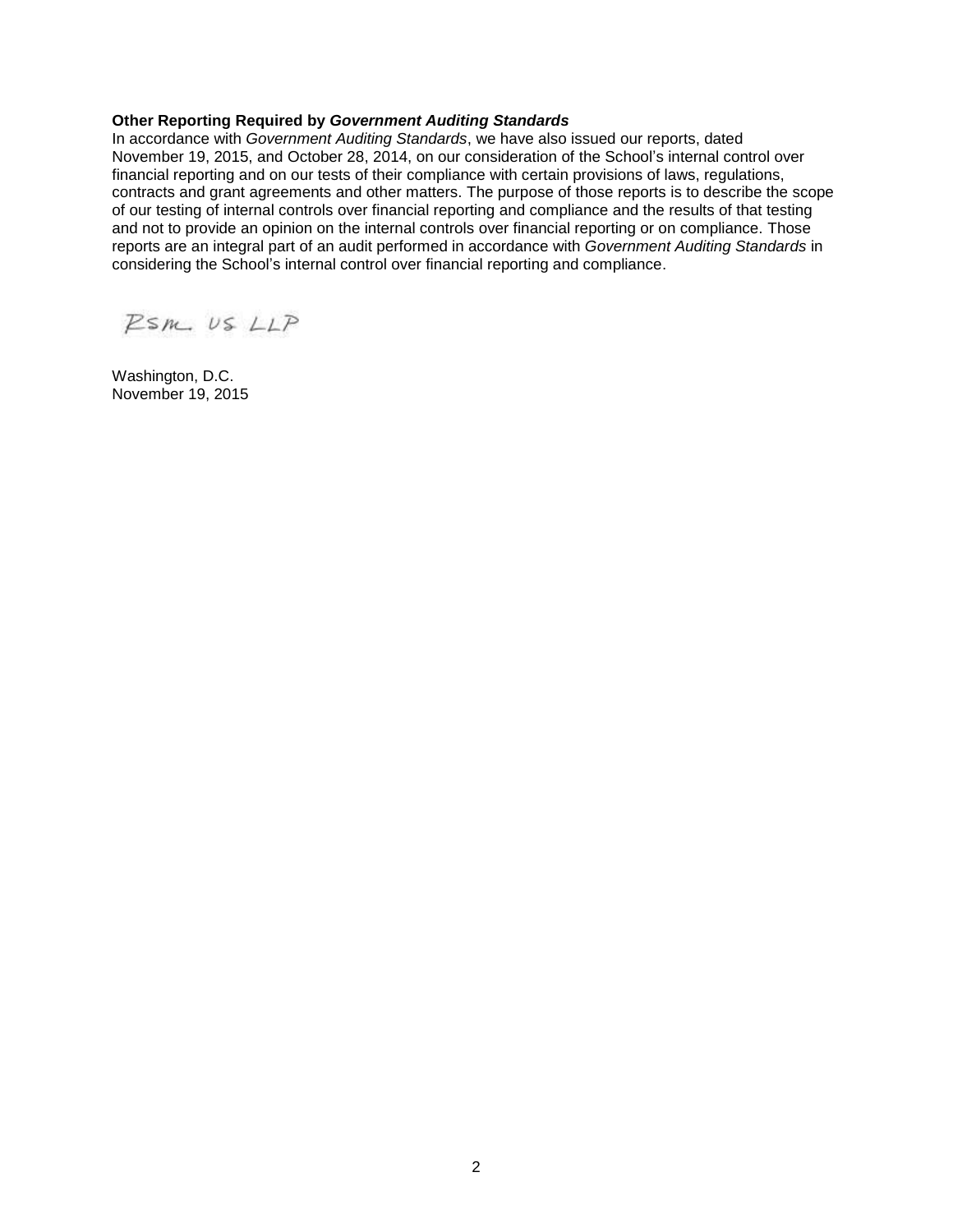## **Other Reporting Required by** *Government Auditing Standards*

In accordance with *Government Auditing Standards*, we have also issued our reports, dated November 19, 2015, and October 28, 2014, on our consideration of the School's internal control over financial reporting and on our tests of their compliance with certain provisions of laws, regulations, contracts and grant agreements and other matters. The purpose of those reports is to describe the scope of our testing of internal controls over financial reporting and compliance and the results of that testing and not to provide an opinion on the internal controls over financial reporting or on compliance. Those reports are an integral part of an audit performed in accordance with *Government Auditing Standards* in considering the School's internal control over financial reporting and compliance.

 $P_{SM}$  US  $LLP$ 

Washington, D.C. November 19, 2015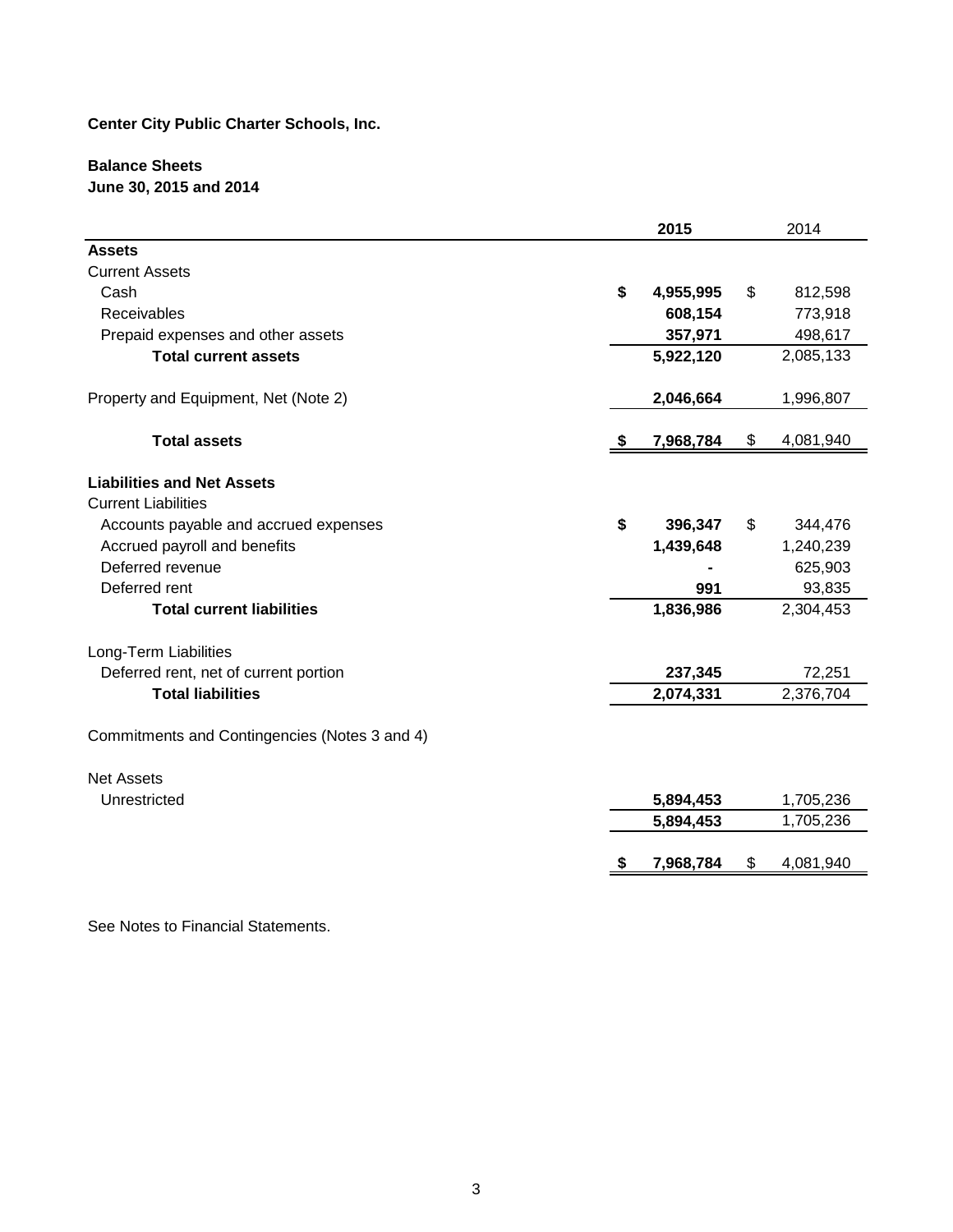# **Balance Sheets June 30, 2015 and 2014**

|                                               |    | 2015      | 2014            |
|-----------------------------------------------|----|-----------|-----------------|
| <b>Assets</b>                                 |    |           |                 |
| <b>Current Assets</b>                         |    |           |                 |
| Cash                                          | \$ | 4,955,995 | \$<br>812,598   |
| Receivables                                   |    | 608,154   | 773,918         |
| Prepaid expenses and other assets             |    | 357,971   | 498,617         |
| <b>Total current assets</b>                   |    | 5,922,120 | 2,085,133       |
| Property and Equipment, Net (Note 2)          |    | 2,046,664 | 1,996,807       |
| <b>Total assets</b>                           | æ. | 7,968,784 | \$<br>4,081,940 |
| <b>Liabilities and Net Assets</b>             |    |           |                 |
| <b>Current Liabilities</b>                    |    |           |                 |
| Accounts payable and accrued expenses         | \$ | 396,347   | \$<br>344,476   |
| Accrued payroll and benefits                  |    | 1,439,648 | 1,240,239       |
| Deferred revenue                              |    |           | 625,903         |
| Deferred rent                                 |    | 991       | 93,835          |
| <b>Total current liabilities</b>              |    | 1,836,986 | 2,304,453       |
| Long-Term Liabilities                         |    |           |                 |
| Deferred rent, net of current portion         |    | 237,345   | 72,251          |
| <b>Total liabilities</b>                      |    | 2,074,331 | 2,376,704       |
| Commitments and Contingencies (Notes 3 and 4) |    |           |                 |
| <b>Net Assets</b>                             |    |           |                 |
| Unrestricted                                  |    | 5,894,453 | 1,705,236       |
|                                               |    | 5,894,453 | 1,705,236       |
|                                               |    | 7,968,784 | \$<br>4,081,940 |
|                                               |    |           |                 |

See Notes to Financial Statements.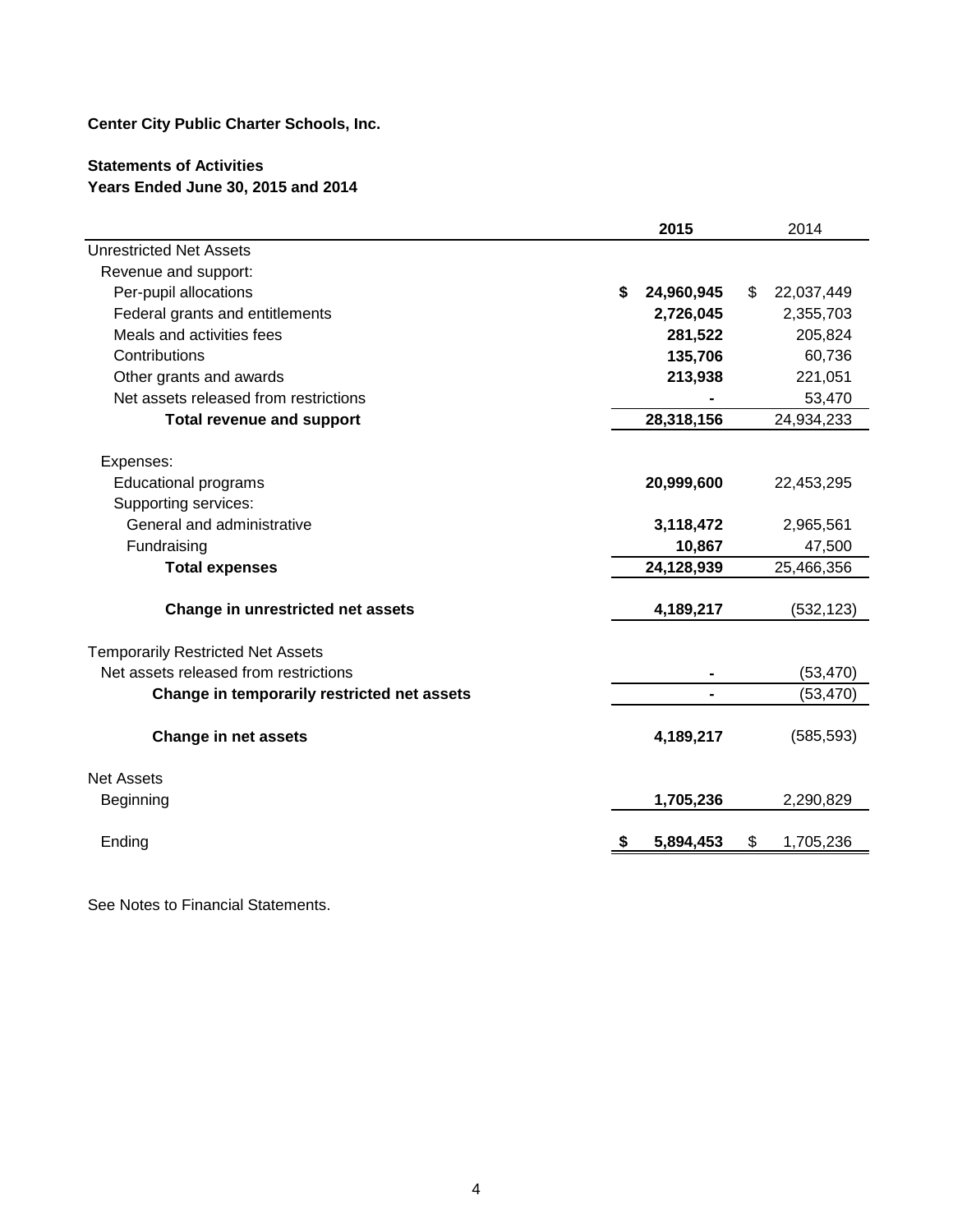# **Statements of Activities Years Ended June 30, 2015 and 2014**

|                                             |    | 2015       | 2014             |
|---------------------------------------------|----|------------|------------------|
| <b>Unrestricted Net Assets</b>              |    |            |                  |
| Revenue and support:                        |    |            |                  |
| Per-pupil allocations                       | \$ | 24,960,945 | \$<br>22,037,449 |
| Federal grants and entitlements             |    | 2,726,045  | 2,355,703        |
| Meals and activities fees                   |    | 281,522    | 205,824          |
| Contributions                               |    | 135,706    | 60,736           |
| Other grants and awards                     |    | 213,938    | 221,051          |
| Net assets released from restrictions       |    |            | 53,470           |
| <b>Total revenue and support</b>            |    | 28,318,156 | 24,934,233       |
| Expenses:                                   |    |            |                  |
| <b>Educational programs</b>                 |    | 20,999,600 | 22,453,295       |
| Supporting services:                        |    |            |                  |
| General and administrative                  |    | 3,118,472  | 2,965,561        |
| Fundraising                                 |    | 10,867     | 47,500           |
| <b>Total expenses</b>                       |    | 24,128,939 | 25,466,356       |
| Change in unrestricted net assets           |    | 4,189,217  | (532, 123)       |
| <b>Temporarily Restricted Net Assets</b>    |    |            |                  |
| Net assets released from restrictions       |    |            | (53, 470)        |
| Change in temporarily restricted net assets |    |            | (53, 470)        |
| <b>Change in net assets</b>                 |    | 4,189,217  | (585, 593)       |
| <b>Net Assets</b>                           |    |            |                  |
| Beginning                                   |    | 1,705,236  | 2,290,829        |
| Ending                                      | S  | 5,894,453  | \$<br>1,705,236  |

See Notes to Financial Statements.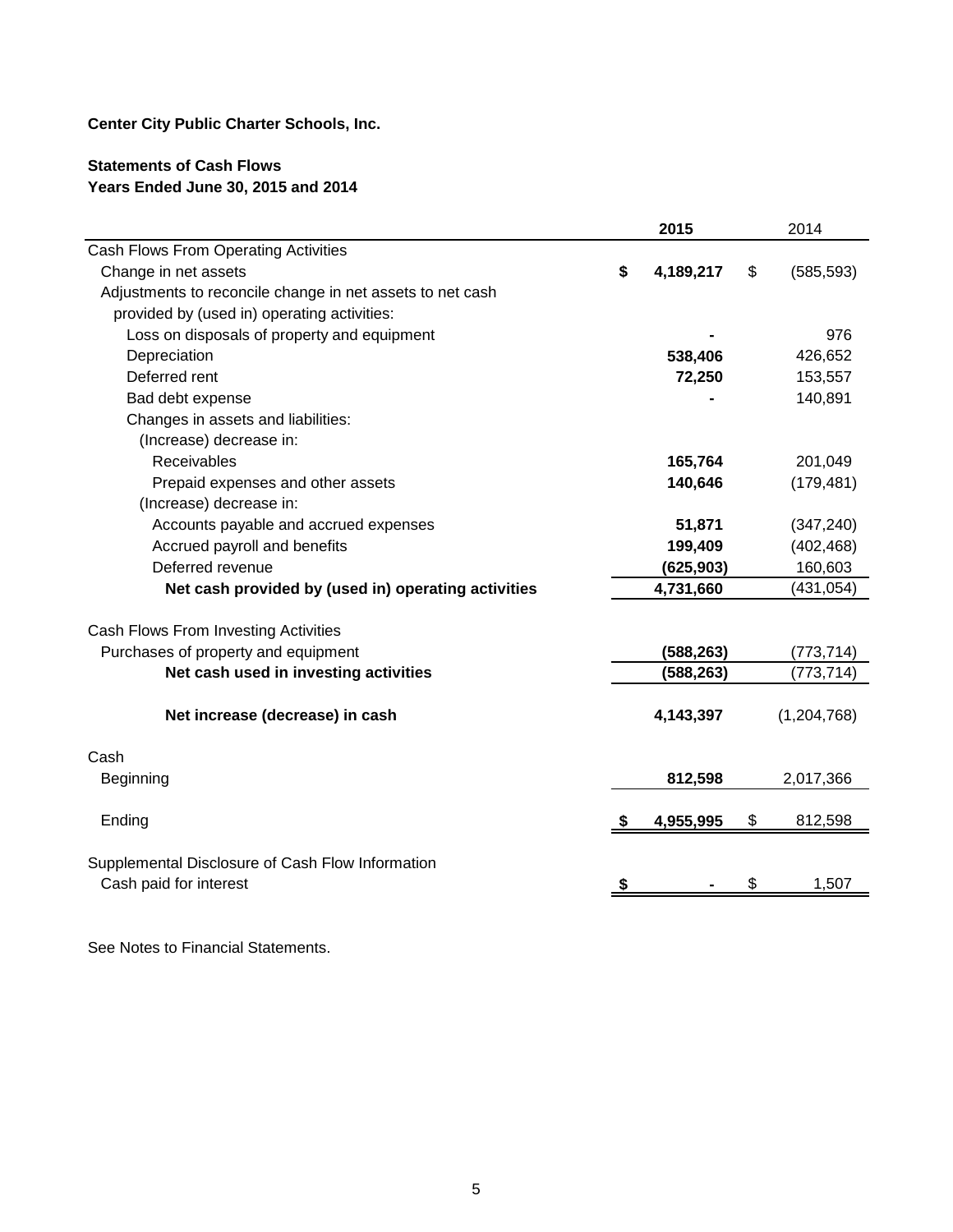# **Statements of Cash Flows Years Ended June 30, 2015 and 2014**

| Cash Flows From Operating Activities<br>Change in net assets<br>\$<br>4,189,217<br>(585, 593)<br>\$<br>Adjustments to reconcile change in net assets to net cash<br>provided by (used in) operating activities:<br>Loss on disposals of property and equipment<br>976<br>Depreciation<br>426,652<br>538,406<br>Deferred rent<br>153,557<br>72,250<br>140,891<br>Bad debt expense<br>Changes in assets and liabilities:<br>(Increase) decrease in:<br>Receivables<br>165,764<br>201,049<br>140,646<br>Prepaid expenses and other assets<br>(179, 481)<br>(Increase) decrease in:<br>Accounts payable and accrued expenses<br>51,871<br>(347, 240)<br>Accrued payroll and benefits<br>199,409<br>(402, 468)<br>Deferred revenue<br>160,603<br>(625, 903)<br>Net cash provided by (used in) operating activities<br>4,731,660<br>(431,054)<br>Cash Flows From Investing Activities<br>Purchases of property and equipment<br>(588, 263)<br>(773, 714)<br>Net cash used in investing activities<br>(588, 263)<br>(773, 714)<br>Net increase (decrease) in cash<br>4,143,397<br>(1,204,768)<br>Cash<br>812,598<br>Beginning<br>2,017,366<br>4,955,995<br>812,598<br>Ending<br>\$<br>S<br>Supplemental Disclosure of Cash Flow Information<br>Cash paid for interest<br>1,507 |  | 2015 | 2014 |
|-------------------------------------------------------------------------------------------------------------------------------------------------------------------------------------------------------------------------------------------------------------------------------------------------------------------------------------------------------------------------------------------------------------------------------------------------------------------------------------------------------------------------------------------------------------------------------------------------------------------------------------------------------------------------------------------------------------------------------------------------------------------------------------------------------------------------------------------------------------------------------------------------------------------------------------------------------------------------------------------------------------------------------------------------------------------------------------------------------------------------------------------------------------------------------------------------------------------------------------------------------------------------|--|------|------|
|                                                                                                                                                                                                                                                                                                                                                                                                                                                                                                                                                                                                                                                                                                                                                                                                                                                                                                                                                                                                                                                                                                                                                                                                                                                                         |  |      |      |
|                                                                                                                                                                                                                                                                                                                                                                                                                                                                                                                                                                                                                                                                                                                                                                                                                                                                                                                                                                                                                                                                                                                                                                                                                                                                         |  |      |      |
|                                                                                                                                                                                                                                                                                                                                                                                                                                                                                                                                                                                                                                                                                                                                                                                                                                                                                                                                                                                                                                                                                                                                                                                                                                                                         |  |      |      |
|                                                                                                                                                                                                                                                                                                                                                                                                                                                                                                                                                                                                                                                                                                                                                                                                                                                                                                                                                                                                                                                                                                                                                                                                                                                                         |  |      |      |
|                                                                                                                                                                                                                                                                                                                                                                                                                                                                                                                                                                                                                                                                                                                                                                                                                                                                                                                                                                                                                                                                                                                                                                                                                                                                         |  |      |      |
|                                                                                                                                                                                                                                                                                                                                                                                                                                                                                                                                                                                                                                                                                                                                                                                                                                                                                                                                                                                                                                                                                                                                                                                                                                                                         |  |      |      |
|                                                                                                                                                                                                                                                                                                                                                                                                                                                                                                                                                                                                                                                                                                                                                                                                                                                                                                                                                                                                                                                                                                                                                                                                                                                                         |  |      |      |
|                                                                                                                                                                                                                                                                                                                                                                                                                                                                                                                                                                                                                                                                                                                                                                                                                                                                                                                                                                                                                                                                                                                                                                                                                                                                         |  |      |      |
|                                                                                                                                                                                                                                                                                                                                                                                                                                                                                                                                                                                                                                                                                                                                                                                                                                                                                                                                                                                                                                                                                                                                                                                                                                                                         |  |      |      |
|                                                                                                                                                                                                                                                                                                                                                                                                                                                                                                                                                                                                                                                                                                                                                                                                                                                                                                                                                                                                                                                                                                                                                                                                                                                                         |  |      |      |
|                                                                                                                                                                                                                                                                                                                                                                                                                                                                                                                                                                                                                                                                                                                                                                                                                                                                                                                                                                                                                                                                                                                                                                                                                                                                         |  |      |      |
|                                                                                                                                                                                                                                                                                                                                                                                                                                                                                                                                                                                                                                                                                                                                                                                                                                                                                                                                                                                                                                                                                                                                                                                                                                                                         |  |      |      |
|                                                                                                                                                                                                                                                                                                                                                                                                                                                                                                                                                                                                                                                                                                                                                                                                                                                                                                                                                                                                                                                                                                                                                                                                                                                                         |  |      |      |
|                                                                                                                                                                                                                                                                                                                                                                                                                                                                                                                                                                                                                                                                                                                                                                                                                                                                                                                                                                                                                                                                                                                                                                                                                                                                         |  |      |      |
|                                                                                                                                                                                                                                                                                                                                                                                                                                                                                                                                                                                                                                                                                                                                                                                                                                                                                                                                                                                                                                                                                                                                                                                                                                                                         |  |      |      |
|                                                                                                                                                                                                                                                                                                                                                                                                                                                                                                                                                                                                                                                                                                                                                                                                                                                                                                                                                                                                                                                                                                                                                                                                                                                                         |  |      |      |
|                                                                                                                                                                                                                                                                                                                                                                                                                                                                                                                                                                                                                                                                                                                                                                                                                                                                                                                                                                                                                                                                                                                                                                                                                                                                         |  |      |      |
|                                                                                                                                                                                                                                                                                                                                                                                                                                                                                                                                                                                                                                                                                                                                                                                                                                                                                                                                                                                                                                                                                                                                                                                                                                                                         |  |      |      |
|                                                                                                                                                                                                                                                                                                                                                                                                                                                                                                                                                                                                                                                                                                                                                                                                                                                                                                                                                                                                                                                                                                                                                                                                                                                                         |  |      |      |
|                                                                                                                                                                                                                                                                                                                                                                                                                                                                                                                                                                                                                                                                                                                                                                                                                                                                                                                                                                                                                                                                                                                                                                                                                                                                         |  |      |      |
|                                                                                                                                                                                                                                                                                                                                                                                                                                                                                                                                                                                                                                                                                                                                                                                                                                                                                                                                                                                                                                                                                                                                                                                                                                                                         |  |      |      |
|                                                                                                                                                                                                                                                                                                                                                                                                                                                                                                                                                                                                                                                                                                                                                                                                                                                                                                                                                                                                                                                                                                                                                                                                                                                                         |  |      |      |
|                                                                                                                                                                                                                                                                                                                                                                                                                                                                                                                                                                                                                                                                                                                                                                                                                                                                                                                                                                                                                                                                                                                                                                                                                                                                         |  |      |      |
|                                                                                                                                                                                                                                                                                                                                                                                                                                                                                                                                                                                                                                                                                                                                                                                                                                                                                                                                                                                                                                                                                                                                                                                                                                                                         |  |      |      |
|                                                                                                                                                                                                                                                                                                                                                                                                                                                                                                                                                                                                                                                                                                                                                                                                                                                                                                                                                                                                                                                                                                                                                                                                                                                                         |  |      |      |
|                                                                                                                                                                                                                                                                                                                                                                                                                                                                                                                                                                                                                                                                                                                                                                                                                                                                                                                                                                                                                                                                                                                                                                                                                                                                         |  |      |      |

See Notes to Financial Statements.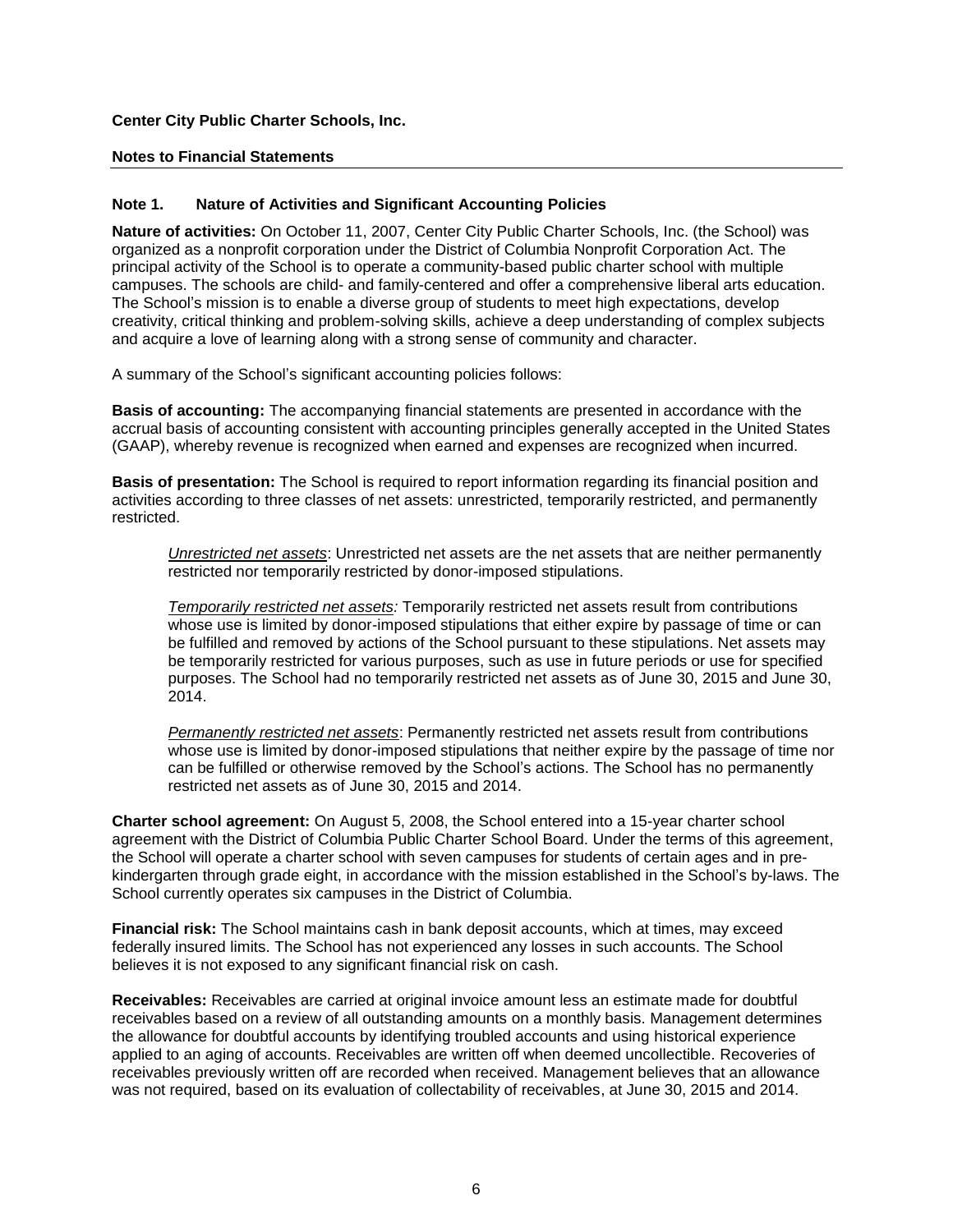#### **Notes to Financial Statements**

## **Note 1. Nature of Activities and Significant Accounting Policies**

**Nature of activities:** On October 11, 2007, Center City Public Charter Schools, Inc. (the School) was organized as a nonprofit corporation under the District of Columbia Nonprofit Corporation Act. The principal activity of the School is to operate a community-based public charter school with multiple campuses. The schools are child- and family-centered and offer a comprehensive liberal arts education. The School's mission is to enable a diverse group of students to meet high expectations, develop creativity, critical thinking and problem-solving skills, achieve a deep understanding of complex subjects and acquire a love of learning along with a strong sense of community and character.

A summary of the School's significant accounting policies follows:

**Basis of accounting:** The accompanying financial statements are presented in accordance with the accrual basis of accounting consistent with accounting principles generally accepted in the United States (GAAP), whereby revenue is recognized when earned and expenses are recognized when incurred.

**Basis of presentation:** The School is required to report information regarding its financial position and activities according to three classes of net assets: unrestricted, temporarily restricted, and permanently restricted.

*Unrestricted net assets*: Unrestricted net assets are the net assets that are neither permanently restricted nor temporarily restricted by donor-imposed stipulations.

*Temporarily restricted net assets:* Temporarily restricted net assets result from contributions whose use is limited by donor-imposed stipulations that either expire by passage of time or can be fulfilled and removed by actions of the School pursuant to these stipulations. Net assets may be temporarily restricted for various purposes, such as use in future periods or use for specified purposes. The School had no temporarily restricted net assets as of June 30, 2015 and June 30, 2014.

*Permanently restricted net assets*: Permanently restricted net assets result from contributions whose use is limited by donor-imposed stipulations that neither expire by the passage of time nor can be fulfilled or otherwise removed by the School's actions. The School has no permanently restricted net assets as of June 30, 2015 and 2014.

**Charter school agreement:** On August 5, 2008, the School entered into a 15-year charter school agreement with the District of Columbia Public Charter School Board. Under the terms of this agreement, the School will operate a charter school with seven campuses for students of certain ages and in prekindergarten through grade eight, in accordance with the mission established in the School's by-laws. The School currently operates six campuses in the District of Columbia.

**Financial risk:** The School maintains cash in bank deposit accounts, which at times, may exceed federally insured limits. The School has not experienced any losses in such accounts. The School believes it is not exposed to any significant financial risk on cash.

**Receivables:** Receivables are carried at original invoice amount less an estimate made for doubtful receivables based on a review of all outstanding amounts on a monthly basis. Management determines the allowance for doubtful accounts by identifying troubled accounts and using historical experience applied to an aging of accounts. Receivables are written off when deemed uncollectible. Recoveries of receivables previously written off are recorded when received. Management believes that an allowance was not required, based on its evaluation of collectability of receivables, at June 30, 2015 and 2014.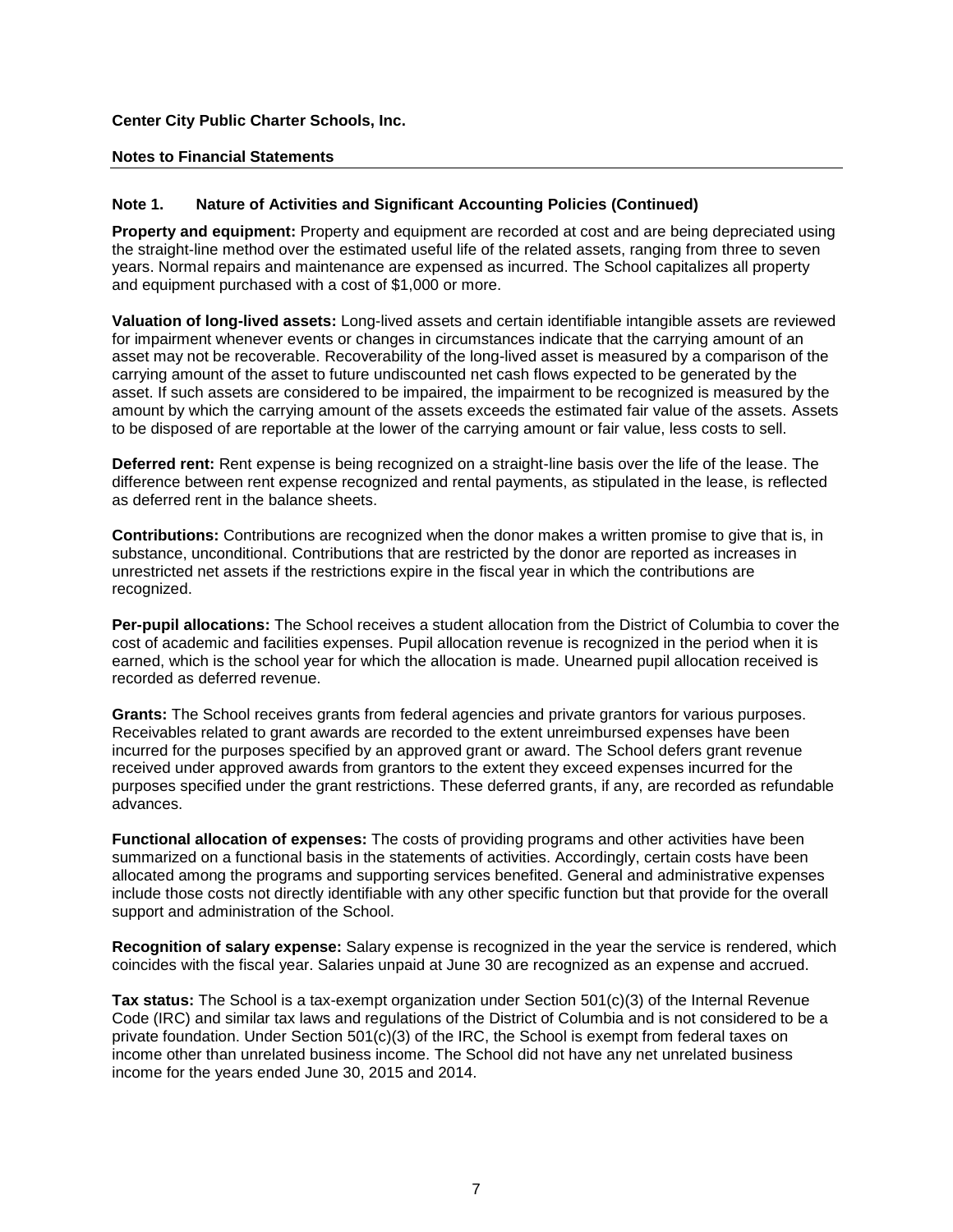#### **Notes to Financial Statements**

## **Note 1. Nature of Activities and Significant Accounting Policies (Continued)**

**Property and equipment:** Property and equipment are recorded at cost and are being depreciated using the straight-line method over the estimated useful life of the related assets, ranging from three to seven years. Normal repairs and maintenance are expensed as incurred. The School capitalizes all property and equipment purchased with a cost of \$1,000 or more.

**Valuation of long-lived assets:** Long-lived assets and certain identifiable intangible assets are reviewed for impairment whenever events or changes in circumstances indicate that the carrying amount of an asset may not be recoverable. Recoverability of the long-lived asset is measured by a comparison of the carrying amount of the asset to future undiscounted net cash flows expected to be generated by the asset. If such assets are considered to be impaired, the impairment to be recognized is measured by the amount by which the carrying amount of the assets exceeds the estimated fair value of the assets. Assets to be disposed of are reportable at the lower of the carrying amount or fair value, less costs to sell.

**Deferred rent:** Rent expense is being recognized on a straight-line basis over the life of the lease. The difference between rent expense recognized and rental payments, as stipulated in the lease, is reflected as deferred rent in the balance sheets.

**Contributions:** Contributions are recognized when the donor makes a written promise to give that is, in substance, unconditional. Contributions that are restricted by the donor are reported as increases in unrestricted net assets if the restrictions expire in the fiscal year in which the contributions are recognized.

**Per-pupil allocations:** The School receives a student allocation from the District of Columbia to cover the cost of academic and facilities expenses. Pupil allocation revenue is recognized in the period when it is earned, which is the school year for which the allocation is made. Unearned pupil allocation received is recorded as deferred revenue.

**Grants:** The School receives grants from federal agencies and private grantors for various purposes. Receivables related to grant awards are recorded to the extent unreimbursed expenses have been incurred for the purposes specified by an approved grant or award. The School defers grant revenue received under approved awards from grantors to the extent they exceed expenses incurred for the purposes specified under the grant restrictions. These deferred grants, if any, are recorded as refundable advances.

**Functional allocation of expenses:** The costs of providing programs and other activities have been summarized on a functional basis in the statements of activities. Accordingly, certain costs have been allocated among the programs and supporting services benefited. General and administrative expenses include those costs not directly identifiable with any other specific function but that provide for the overall support and administration of the School.

**Recognition of salary expense:** Salary expense is recognized in the year the service is rendered, which coincides with the fiscal year. Salaries unpaid at June 30 are recognized as an expense and accrued.

**Tax status:** The School is a tax-exempt organization under Section 501(c)(3) of the Internal Revenue Code (IRC) and similar tax laws and regulations of the District of Columbia and is not considered to be a private foundation. Under Section 501(c)(3) of the IRC, the School is exempt from federal taxes on income other than unrelated business income. The School did not have any net unrelated business income for the years ended June 30, 2015 and 2014.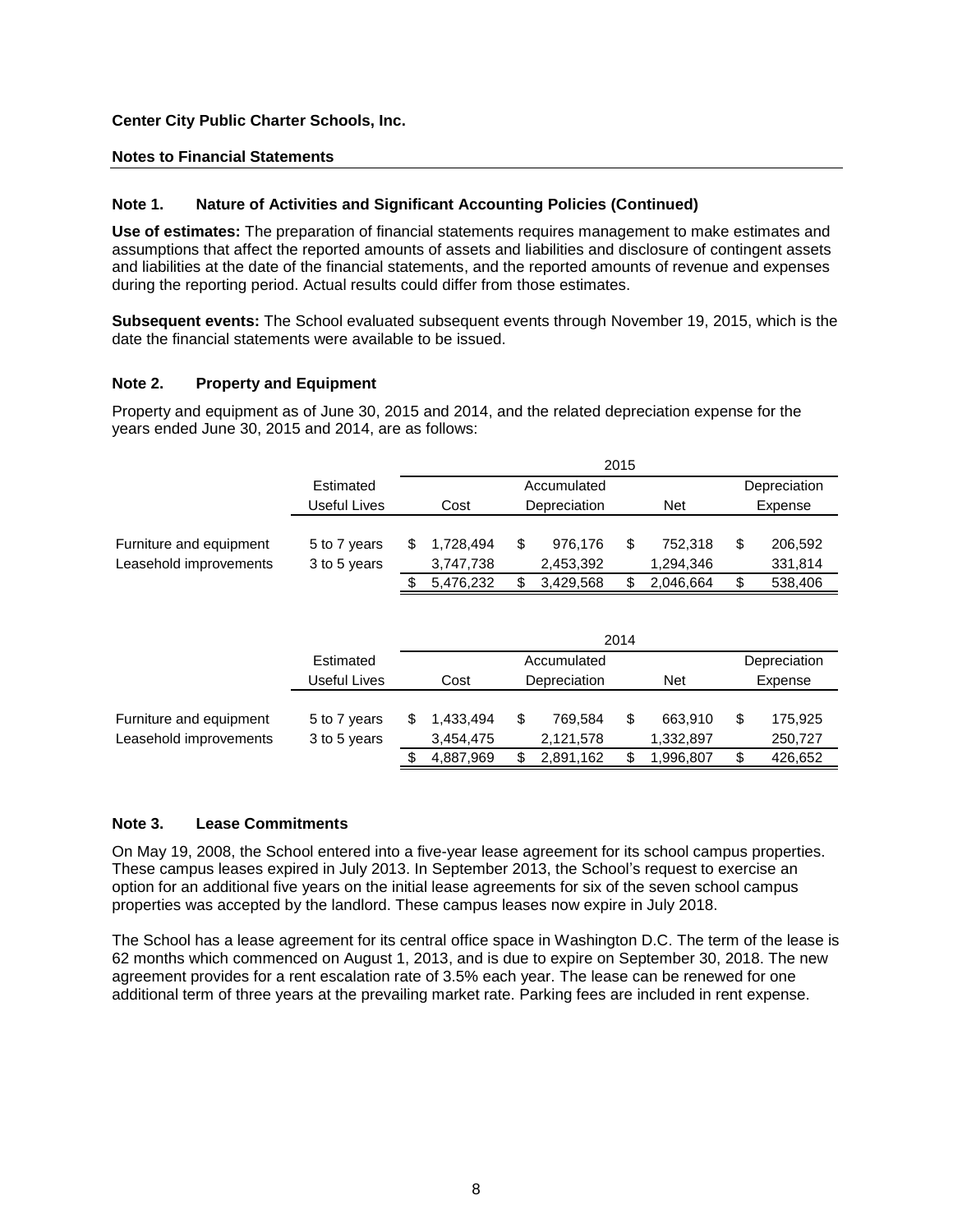#### **Notes to Financial Statements**

## **Note 1. Nature of Activities and Significant Accounting Policies (Continued)**

**Use of estimates:** The preparation of financial statements requires management to make estimates and assumptions that affect the reported amounts of assets and liabilities and disclosure of contingent assets and liabilities at the date of the financial statements, and the reported amounts of revenue and expenses during the reporting period. Actual results could differ from those estimates.

**Subsequent events:** The School evaluated subsequent events through November 19, 2015, which is the date the financial statements were available to be issued.

#### **Note 2. Property and Equipment**

Property and equipment as of June 30, 2015 and 2014, and the related depreciation expense for the years ended June 30, 2015 and 2014, are as follows:

|                         |              |           |    |              | 2015 |           |   |              |
|-------------------------|--------------|-----------|----|--------------|------|-----------|---|--------------|
|                         | Estimated    |           |    | Accumulated  |      |           |   | Depreciation |
|                         | Useful Lives | Cost      |    | Depreciation |      | Net       |   | Expense      |
|                         |              |           |    |              |      |           |   |              |
| Furniture and equipment | 5 to 7 years | 1.728.494 | S  | 976.176      |      | 752.318   | S | 206,592      |
| Leasehold improvements  | 3 to 5 years | 3,747,738 |    | 2,453,392    |      | 1,294,346 |   | 331,814      |
|                         |              | 5,476,232 | \$ | 3.429.568    |      | 2,046,664 | S | 538,406      |

|                         |              | 2014      |    |              |  |            |   |              |  |
|-------------------------|--------------|-----------|----|--------------|--|------------|---|--------------|--|
|                         | Estimated    |           |    | Accumulated  |  |            |   | Depreciation |  |
|                         | Useful Lives | Cost      |    | Depreciation |  | <b>Net</b> |   | Expense      |  |
|                         |              |           |    |              |  |            |   |              |  |
| Furniture and equipment | 5 to 7 years | 1.433.494 | \$ | 769.584      |  | 663.910    | S | 175,925      |  |
| Leasehold improvements  | 3 to 5 years | 3,454,475 |    | 2,121,578    |  | 1,332,897  |   | 250,727      |  |
|                         |              | 4,887,969 |    | 2,891,162    |  | 1,996,807  |   | 426,652      |  |

#### **Note 3. Lease Commitments**

On May 19, 2008, the School entered into a five-year lease agreement for its school campus properties. These campus leases expired in July 2013. In September 2013, the School's request to exercise an option for an additional five years on the initial lease agreements for six of the seven school campus properties was accepted by the landlord. These campus leases now expire in July 2018.

The School has a lease agreement for its central office space in Washington D.C. The term of the lease is 62 months which commenced on August 1, 2013, and is due to expire on September 30, 2018. The new agreement provides for a rent escalation rate of 3.5% each year. The lease can be renewed for one additional term of three years at the prevailing market rate. Parking fees are included in rent expense.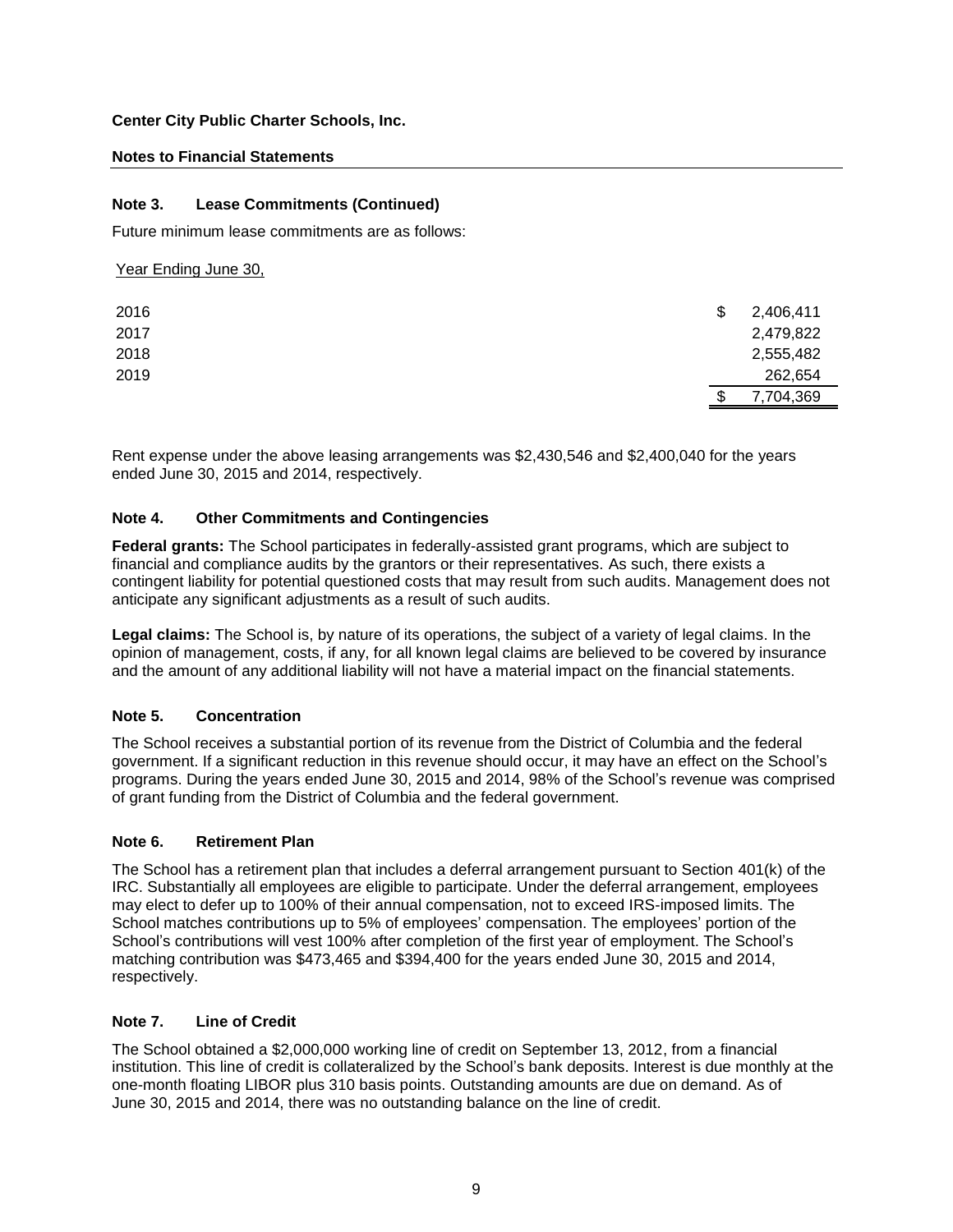# **Notes to Financial Statements**

# **Note 3. Lease Commitments (Continued)**

Future minimum lease commitments are as follows:

Year Ending June 30,

| 2016 | \$<br>2,406,411 |
|------|-----------------|
| 2017 | 2,479,822       |
| 2018 | 2,555,482       |
| 2019 | 262,654         |
|      | \$<br>7,704,369 |

Rent expense under the above leasing arrangements was \$2,430,546 and \$2,400,040 for the years ended June 30, 2015 and 2014, respectively.

# **Note 4. Other Commitments and Contingencies**

**Federal grants:** The School participates in federally-assisted grant programs, which are subject to financial and compliance audits by the grantors or their representatives. As such, there exists a contingent liability for potential questioned costs that may result from such audits. Management does not anticipate any significant adjustments as a result of such audits.

**Legal claims:** The School is, by nature of its operations, the subject of a variety of legal claims. In the opinion of management, costs, if any, for all known legal claims are believed to be covered by insurance and the amount of any additional liability will not have a material impact on the financial statements.

# **Note 5. Concentration**

The School receives a substantial portion of its revenue from the District of Columbia and the federal government. If a significant reduction in this revenue should occur, it may have an effect on the School's programs. During the years ended June 30, 2015 and 2014, 98% of the School's revenue was comprised of grant funding from the District of Columbia and the federal government.

#### **Note 6. Retirement Plan**

The School has a retirement plan that includes a deferral arrangement pursuant to Section 401(k) of the IRC. Substantially all employees are eligible to participate. Under the deferral arrangement, employees may elect to defer up to 100% of their annual compensation, not to exceed IRS-imposed limits. The School matches contributions up to 5% of employees' compensation. The employees' portion of the School's contributions will vest 100% after completion of the first year of employment. The School's matching contribution was \$473,465 and \$394,400 for the years ended June 30, 2015 and 2014, respectively.

# **Note 7. Line of Credit**

The School obtained a \$2,000,000 working line of credit on September 13, 2012, from a financial institution. This line of credit is collateralized by the School's bank deposits. Interest is due monthly at the one-month floating LIBOR plus 310 basis points. Outstanding amounts are due on demand. As of June 30, 2015 and 2014, there was no outstanding balance on the line of credit.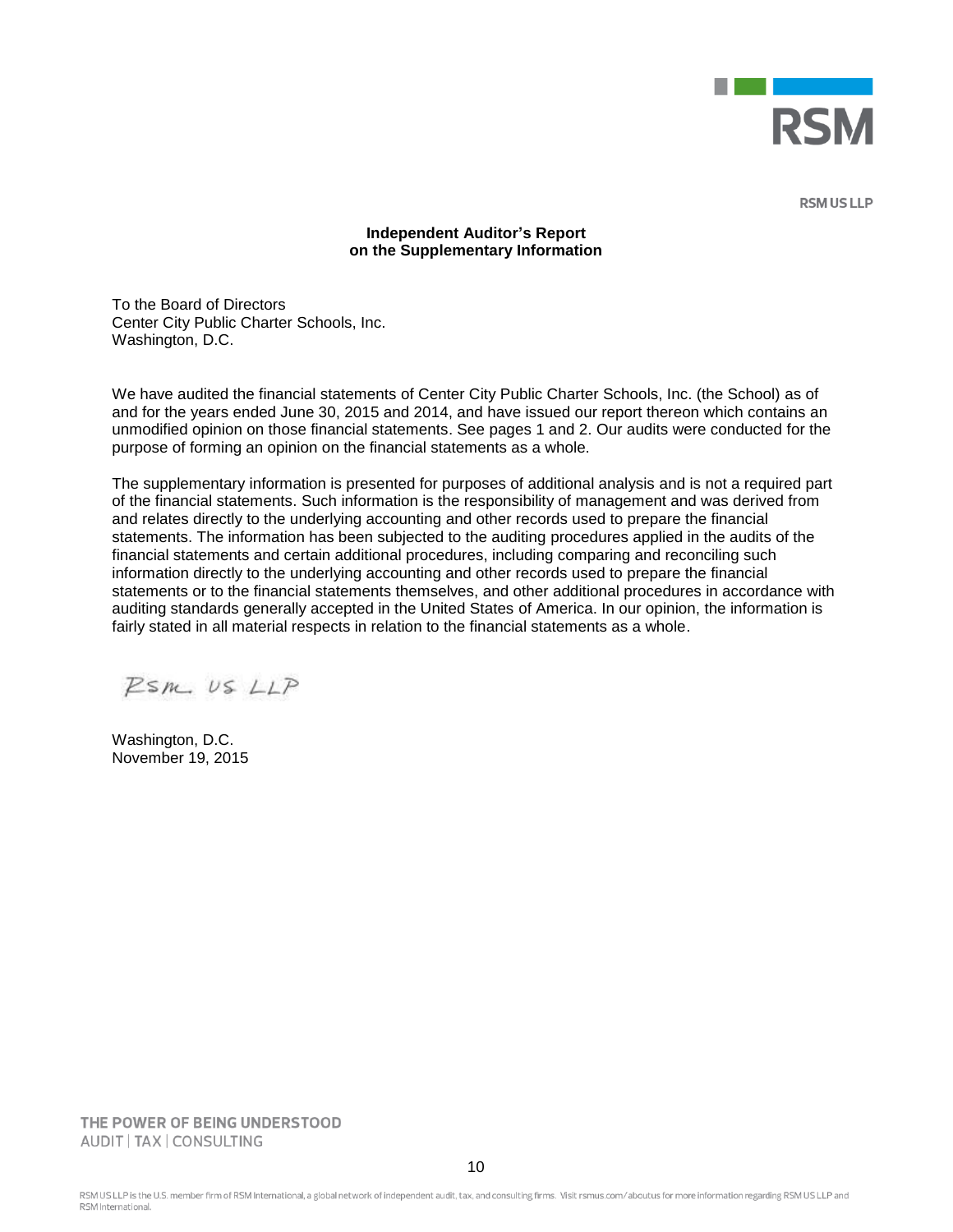

**RSM US LLP** 

#### **Independent Auditor's Report on the Supplementary Information**

To the Board of Directors Center City Public Charter Schools, Inc. Washington, D.C.

We have audited the financial statements of Center City Public Charter Schools, Inc. (the School) as of and for the years ended June 30, 2015 and 2014, and have issued our report thereon which contains an unmodified opinion on those financial statements. See pages 1 and 2. Our audits were conducted for the purpose of forming an opinion on the financial statements as a whole.

The supplementary information is presented for purposes of additional analysis and is not a required part of the financial statements. Such information is the responsibility of management and was derived from and relates directly to the underlying accounting and other records used to prepare the financial statements. The information has been subjected to the auditing procedures applied in the audits of the financial statements and certain additional procedures, including comparing and reconciling such information directly to the underlying accounting and other records used to prepare the financial statements or to the financial statements themselves, and other additional procedures in accordance with auditing standards generally accepted in the United States of America. In our opinion, the information is fairly stated in all material respects in relation to the financial statements as a whole.

 $P_{sm}$  US  $LIP$ 

Washington, D.C. November 19, 2015

THE POWER OF BEING UNDERSTOOD AUDIT | TAX | CONSULTING